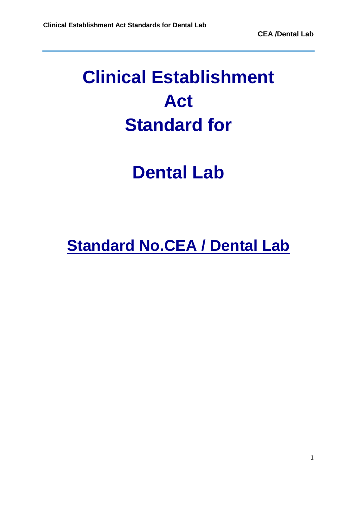## **Clinical Establishment Act Standard for**

## **Dental Lab**

## **Standard No.CEA / Dental Lab**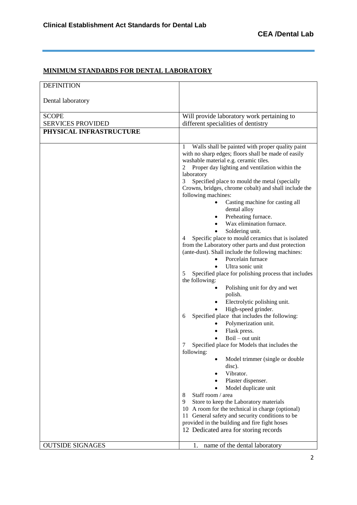<u> 1989 - Johann Stoff, deutscher Stoff, der Stoff, der Stoff, der Stoff, der Stoff, der Stoff, der Stoff, der S</u>

 $\overline{\phantom{0}}$ 

## **MINIMUM STANDARDS FOR DENTAL LABORATORY**

| Dental laboratory<br><b>SCOPE</b><br><b>SERVICES PROVIDED</b><br>PHYSICAL INFRASTRUCTURE                                                  | Will provide laboratory work pertaining to                                                                                                                                                                                                                                                                                                                                                                                                                                                                                                                                                                                                                                                                                                                                                                                                                                                                                                                                                                                                                                                                                                                                                                                                                                                                                  |
|-------------------------------------------------------------------------------------------------------------------------------------------|-----------------------------------------------------------------------------------------------------------------------------------------------------------------------------------------------------------------------------------------------------------------------------------------------------------------------------------------------------------------------------------------------------------------------------------------------------------------------------------------------------------------------------------------------------------------------------------------------------------------------------------------------------------------------------------------------------------------------------------------------------------------------------------------------------------------------------------------------------------------------------------------------------------------------------------------------------------------------------------------------------------------------------------------------------------------------------------------------------------------------------------------------------------------------------------------------------------------------------------------------------------------------------------------------------------------------------|
|                                                                                                                                           |                                                                                                                                                                                                                                                                                                                                                                                                                                                                                                                                                                                                                                                                                                                                                                                                                                                                                                                                                                                                                                                                                                                                                                                                                                                                                                                             |
|                                                                                                                                           |                                                                                                                                                                                                                                                                                                                                                                                                                                                                                                                                                                                                                                                                                                                                                                                                                                                                                                                                                                                                                                                                                                                                                                                                                                                                                                                             |
|                                                                                                                                           | different specialities of dentistry                                                                                                                                                                                                                                                                                                                                                                                                                                                                                                                                                                                                                                                                                                                                                                                                                                                                                                                                                                                                                                                                                                                                                                                                                                                                                         |
|                                                                                                                                           |                                                                                                                                                                                                                                                                                                                                                                                                                                                                                                                                                                                                                                                                                                                                                                                                                                                                                                                                                                                                                                                                                                                                                                                                                                                                                                                             |
|                                                                                                                                           |                                                                                                                                                                                                                                                                                                                                                                                                                                                                                                                                                                                                                                                                                                                                                                                                                                                                                                                                                                                                                                                                                                                                                                                                                                                                                                                             |
| 1<br>2<br>laboratory<br>3<br>following machines:<br>4<br>5<br>the following:<br>6<br>7<br>following:<br>Staff room / area<br>8<br>9<br>11 | Walls shall be painted with proper quality paint<br>with no sharp edges; floors shall be made of easily<br>washable material e.g. ceramic tiles.<br>Proper day lighting and ventilation within the<br>Specified place to mould the metal (specially<br>Crowns, bridges, chrome cobalt) and shall include the<br>Casting machine for casting all<br>٠<br>dental alloy<br>Preheating furnace.<br>Wax elimination furnace.<br>Soldering unit.<br>Specific place to mould ceramics that is isolated<br>from the Laboratory other parts and dust protection<br>(ante-dust). Shall include the following machines:<br>Porcelain furnace<br>Ultra sonic unit<br>Specified place for polishing process that includes<br>Polishing unit for dry and wet<br>polish.<br>Electrolytic polishing unit.<br>High-speed grinder.<br>Specified place that includes the following:<br>Polymerization unit.<br>Flask press.<br>Boil - out unit<br>Specified place for Models that includes the<br>Model trimmer (single or double<br>disc).<br>Vibrator.<br>Plaster dispenser.<br>Model duplicate unit<br>Store to keep the Laboratory materials<br>10 A room for the technical in charge (optional)<br>General safety and security conditions to be<br>provided in the building and fire fight hoses<br>12 Dedicated area for storing records |
| <b>OUTSIDE SIGNAGES</b><br>1.                                                                                                             | name of the dental laboratory                                                                                                                                                                                                                                                                                                                                                                                                                                                                                                                                                                                                                                                                                                                                                                                                                                                                                                                                                                                                                                                                                                                                                                                                                                                                                               |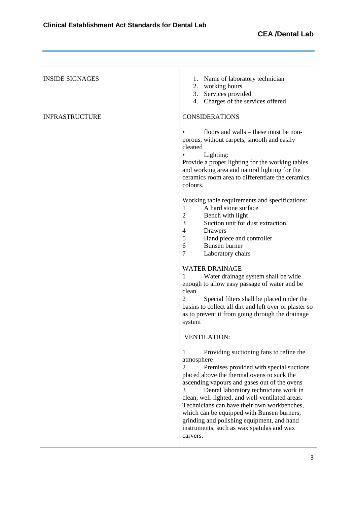$\overline{\phantom{a}}$ 

| <b>INSIDE SIGNAGES</b> | Name of laboratory technician<br>1.<br>working hours<br>2.<br>3. Services provided<br>Charges of the services offered<br>4.                                                                                                                                                                                                                                                                                                                                                                                   |
|------------------------|---------------------------------------------------------------------------------------------------------------------------------------------------------------------------------------------------------------------------------------------------------------------------------------------------------------------------------------------------------------------------------------------------------------------------------------------------------------------------------------------------------------|
| <b>INFRASTRUCTURE</b>  | <b>CONSIDERATIONS</b>                                                                                                                                                                                                                                                                                                                                                                                                                                                                                         |
|                        | floors and walls – these must be non-<br>porous, without carpets, smooth and easily<br>cleaned<br>Lighting:<br>Provide a proper lighting for the working tables<br>and working area and natural lighting for the<br>ceramics room area to differentiate the ceramics<br>colours.                                                                                                                                                                                                                              |
|                        | Working table requirements and specifications:<br>A hard stone surface<br>1<br>$\overline{c}$<br>Bench with light<br>3<br>Suction unit for dust extraction.<br>$\overline{4}$<br>Drawers<br>5<br>Hand piece and controller<br>6<br>Bunsen burner<br>$\overline{7}$<br>Laboratory chairs                                                                                                                                                                                                                       |
|                        | <b>WATER DRAINAGE</b><br>Water drainage system shall be wide<br>1<br>enough to allow easy passage of water and be<br>clean<br>2<br>Special filters shall be placed under the<br>basins to collect all dirt and left over of plaster so<br>as to prevent it from going through the drainage<br>system                                                                                                                                                                                                          |
|                        | <b>VENTILATION:</b>                                                                                                                                                                                                                                                                                                                                                                                                                                                                                           |
|                        | Providing suctioning fans to refine the<br>1<br>atmosphere<br>2<br>Premises provided with special suctions<br>placed above the thermal ovens to suck the<br>ascending vapours and gases out of the ovens<br>3<br>Dental laboratory technicians work in<br>clean, well-lighted, and well-ventilated areas.<br>Technicians can have their own workbenches,<br>which can be equipped with Bunsen burners,<br>grinding and polishing equipment, and hand<br>instruments, such as wax spatulas and wax<br>carvers. |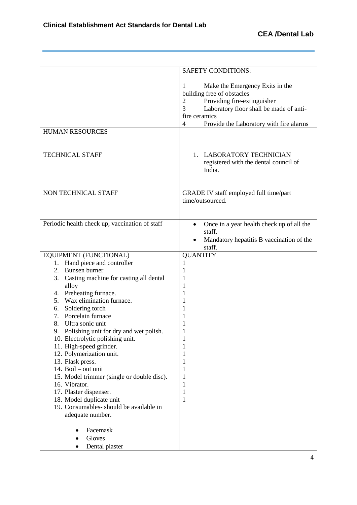$\overline{a}$ 

L,

|                                                                            | <b>SAFETY CONDITIONS:</b>                                                                                                                                                                                                                                                   |
|----------------------------------------------------------------------------|-----------------------------------------------------------------------------------------------------------------------------------------------------------------------------------------------------------------------------------------------------------------------------|
| <b>HUMAN RESOURCES</b><br><b>TECHNICAL STAFF</b>                           | Make the Emergency Exits in the<br>1<br>building free of obstacles<br>Providing fire-extinguisher<br>$\mathbf{2}$<br>3<br>Laboratory floor shall be made of anti-<br>fire ceramics<br>$\overline{4}$<br>Provide the Laboratory with fire alarms<br>1. LABORATORY TECHNICIAN |
|                                                                            | registered with the dental council of<br>India.                                                                                                                                                                                                                             |
| NON TECHNICAL STAFF                                                        | GRADE IV staff employed full time/part<br>time/outsourced.                                                                                                                                                                                                                  |
| Periodic health check up, vaccination of staff                             | Once in a year health check up of all the<br>staff.<br>Mandatory hepatitis B vaccination of the<br>staff.                                                                                                                                                                   |
| EQUIPMENT (FUNCTIONAL)                                                     | <b>QUANTITY</b>                                                                                                                                                                                                                                                             |
| 1. Hand piece and controller<br>Bunsen burner<br>2.                        | 1                                                                                                                                                                                                                                                                           |
| 3.<br>Casting machine for casting all dental                               | 1<br>1                                                                                                                                                                                                                                                                      |
| alloy                                                                      | 1                                                                                                                                                                                                                                                                           |
| Preheating furnace.<br>4.                                                  | 1                                                                                                                                                                                                                                                                           |
| Wax elimination furnace.<br>5.                                             | 1                                                                                                                                                                                                                                                                           |
| Soldering torch<br>6.                                                      | 1                                                                                                                                                                                                                                                                           |
| Porcelain furnace<br>7.                                                    | 1                                                                                                                                                                                                                                                                           |
| Ultra sonic unit<br>8.<br>9.                                               | 1                                                                                                                                                                                                                                                                           |
| Polishing unit for dry and wet polish.<br>10. Electrolytic polishing unit. | 1<br>1                                                                                                                                                                                                                                                                      |
| 11. High-speed grinder.                                                    | 1                                                                                                                                                                                                                                                                           |
| 12. Polymerization unit.                                                   | 1                                                                                                                                                                                                                                                                           |
| 13. Flask press.                                                           | 1                                                                                                                                                                                                                                                                           |
| 14. Boil - out unit                                                        | 1                                                                                                                                                                                                                                                                           |
| 15. Model trimmer (single or double disc).<br>16. Vibrator.                | 1<br>1                                                                                                                                                                                                                                                                      |
| 17. Plaster dispenser.                                                     | 1                                                                                                                                                                                                                                                                           |
| 18. Model duplicate unit                                                   | 1                                                                                                                                                                                                                                                                           |
| 19. Consumables-should be available in<br>adequate number.                 |                                                                                                                                                                                                                                                                             |
| Facemask                                                                   |                                                                                                                                                                                                                                                                             |
| Gloves                                                                     |                                                                                                                                                                                                                                                                             |
| Dental plaster                                                             |                                                                                                                                                                                                                                                                             |

<u> 1989 - Andrea Santana, amerikana amerikana amerikana amerikana amerikana amerikana amerikana amerikana amerika</u>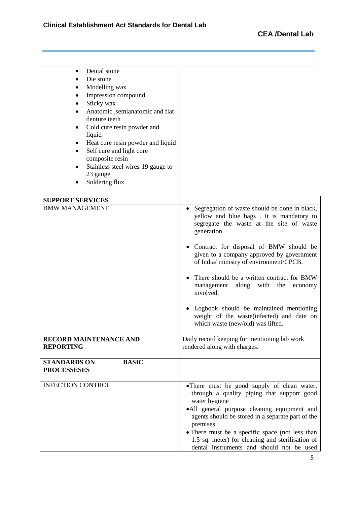$\overline{a}$ 

<u> 1989 - Johann Stoff, deutscher Stoff, der Stoff, der Stoff, der Stoff, der Stoff, der Stoff, der Stoff, der S</u>

 $\overline{a}$ 

| Dental stone<br>٠<br>Die stone<br>Modelling wax<br>Impression compound<br>Sticky wax<br>Anatomic ,semianatomic and flat<br>denture teeth<br>Cold cure resin powder and<br>liquid<br>Heat cure resin powder and liquid<br>$\bullet$<br>Self cure and light cure<br>$\bullet$<br>composite resin<br>Stainless steel wires-19 gauge to<br>23 gauge |                                                                                                                                                                                                                                                                                                                                                                                                                                                                                                                                              |
|-------------------------------------------------------------------------------------------------------------------------------------------------------------------------------------------------------------------------------------------------------------------------------------------------------------------------------------------------|----------------------------------------------------------------------------------------------------------------------------------------------------------------------------------------------------------------------------------------------------------------------------------------------------------------------------------------------------------------------------------------------------------------------------------------------------------------------------------------------------------------------------------------------|
| Soldering flux                                                                                                                                                                                                                                                                                                                                  |                                                                                                                                                                                                                                                                                                                                                                                                                                                                                                                                              |
| <b>SUPPORT SERVICES</b>                                                                                                                                                                                                                                                                                                                         |                                                                                                                                                                                                                                                                                                                                                                                                                                                                                                                                              |
| <b>BMW MANAGEMENT</b>                                                                                                                                                                                                                                                                                                                           | Segregation of waste should be done in black,<br>$\bullet$<br>yellow and blue bags. It is mandatory to<br>segregate the waste at the site of waste<br>generation.<br>Contract for disposal of BMW should be<br>given to a company approved by government<br>of India/ ministry of environment/CPCB.<br>There should be a written contract for BMW<br>along<br>with<br>the<br>management<br>economy<br>involved.<br>Logbook should be maintained mentioning<br>weight of the waste(infected) and date on<br>which waste (new/old) was lifted. |
| <b>RECORD MAINTENANCE AND</b><br><b>REPORTING</b>                                                                                                                                                                                                                                                                                               | Daily record keeping for mentioning lab work<br>rendered along with charges.                                                                                                                                                                                                                                                                                                                                                                                                                                                                 |
| <b>BASIC</b><br><b>STANDARDS ON</b><br><b>PROCESSESES</b>                                                                                                                                                                                                                                                                                       |                                                                                                                                                                                                                                                                                                                                                                                                                                                                                                                                              |
| <b>INFECTION CONTROL</b>                                                                                                                                                                                                                                                                                                                        | •There must be good supply of clean water,<br>through a quality piping that support good<br>water hygiene<br>·All general purpose cleaning equipment and<br>agents should be stored in a separate part of the<br>premises<br>• There must be a specific space (not less than<br>1.5 sq. meter) for cleaning and sterilisation of<br>dental instruments and should not be used                                                                                                                                                                |